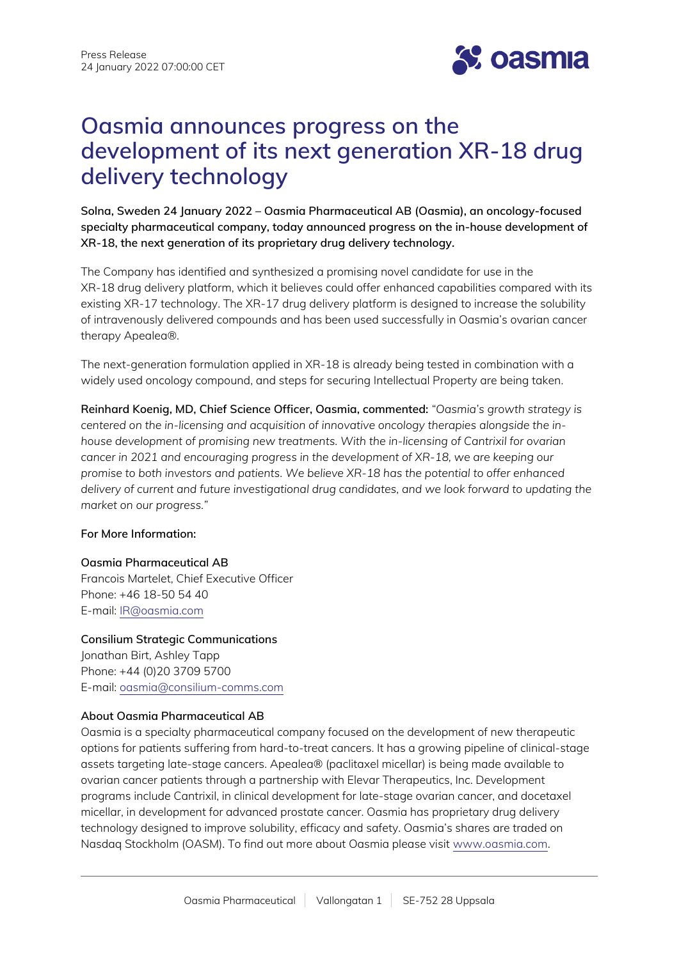

# **Oasmia announces progress on the development of its next generation XR-18 drug delivery technology**

**Solna, Sweden 24 January 2022 – Oasmia Pharmaceutical AB (Oasmia), an oncology-focused specialty pharmaceutical company, today announced progress on the in-house development of XR-18, the next generation of its proprietary drug delivery technology.**

The Company has identified and synthesized a promising novel candidate for use in the XR-18 drug delivery platform, which it believes could offer enhanced capabilities compared with its existing XR-17 technology. The XR-17 drug delivery platform is designed to increase the solubility of intravenously delivered compounds and has been used successfully in Oasmia's ovarian cancer therapy Apealea®.

The next-generation formulation applied in XR-18 is already being tested in combination with a widely used oncology compound, and steps for securing Intellectual Property are being taken.

**Reinhard Koenig, MD, Chief Science Officer, Oasmia, commented:** *"Oasmia's growth strategy is centered on the in-licensing and acquisition of innovative oncology therapies alongside the inhouse development of promising new treatments. With the in-licensing of Cantrixil for ovarian cancer in 2021 and encouraging progress in the development of XR-18, we are keeping our promise to both investors and patients. We believe XR-18 has the potential to offer enhanced delivery of current and future investigational drug candidates, and we look forward to updating the market on our progress."*

### **For More Information:**

### **Oasmia Pharmaceutical AB**

Francois Martelet, Chief Executive Officer Phone: +46 18-50 54 40 E-mail: [IR@oasmia.com](mailto:IR@oasmia.com)

**Consilium Strategic Communications**  Jonathan Birt, Ashley Tapp Phone: +44 (0)20 3709 5700 E-mail: [oasmia@consilium-comms.com](mailto:oasmia@consilium-comms.com)

### **About Oasmia Pharmaceutical AB**

Oasmia is a specialty pharmaceutical company focused on the development of new therapeutic options for patients suffering from hard-to-treat cancers. It has a growing pipeline of clinical-stage assets targeting late-stage cancers. Apealea® (paclitaxel micellar) is being made available to ovarian cancer patients through a partnership with Elevar Therapeutics, Inc. Development programs include Cantrixil, in clinical development for late-stage ovarian cancer, and docetaxel micellar, in development for advanced prostate cancer. Oasmia has proprietary drug delivery technology designed to improve solubility, efficacy and safety. Oasmia's shares are traded on Nasdaq Stockholm (OASM). To find out more about Oasmia please visit [www.oasmia.com](http://www.oasmia.com/).